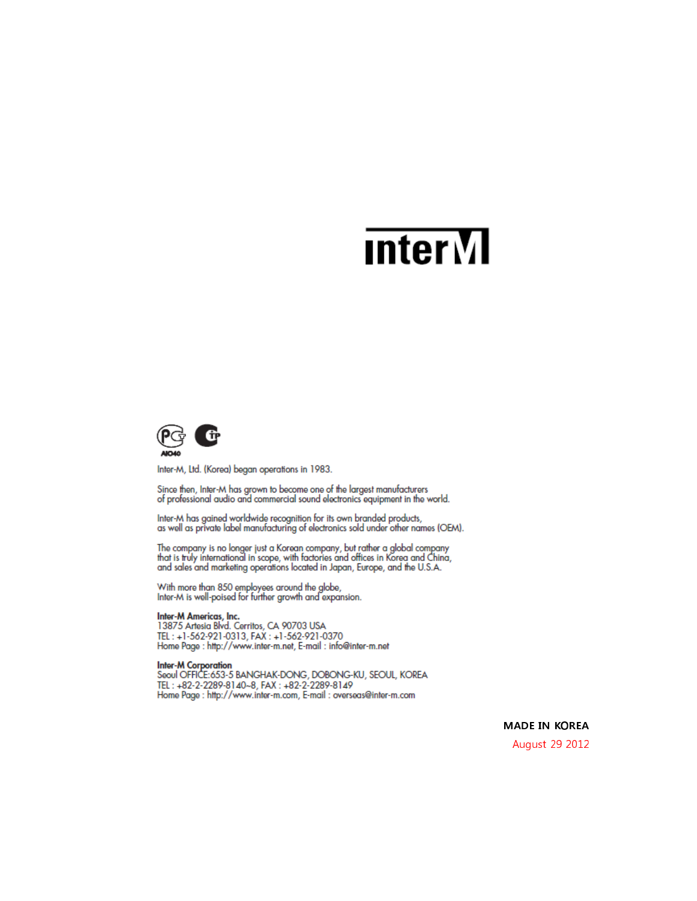# **Inter**<sub>M</sub>



Inter-M, Ltd. (Korea) began operations in 1983.

Since then, Inter-M has grown to become one of the largest manufacturers of professional audio and commercial sound electronics equipment in the world.

Inter-M has gained worldwide recognition for its own branded products, as well as private label manufacturing of electronics sold under other names (OEM).

The company is no longer just a Korean company, but rather a global company<br>that is truly international in scope, with factories and offices in Korea and China, and sales and marketing operations located in Japan, Europe, and the U.S.A.

With more than 850 employees around the globe,<br>Inter-M is well-poised for further growth and expansion.

Inter-M Americas, Inc.<br>13875 Artesia Blvd. Cerritos, CA 90703 USA TEL: +1-562-921-0313, FAX: +1-562-921-0370 Home Page: http://www.inter-m.net, E-mail: info@inter-m.net

Inter-M Corporation<br>Seoul OFFICE:653-5 BANGHAK-DONG, DOBONG-KU, SEOUL, KOREA TEL: +82-2-2289-8140~8, FAX: +82-2-2289-8149 Home Page : http://www.inter-m.com, E-mail : overseas@inter-m.com

> **MADE IN KOREA** August 29 2012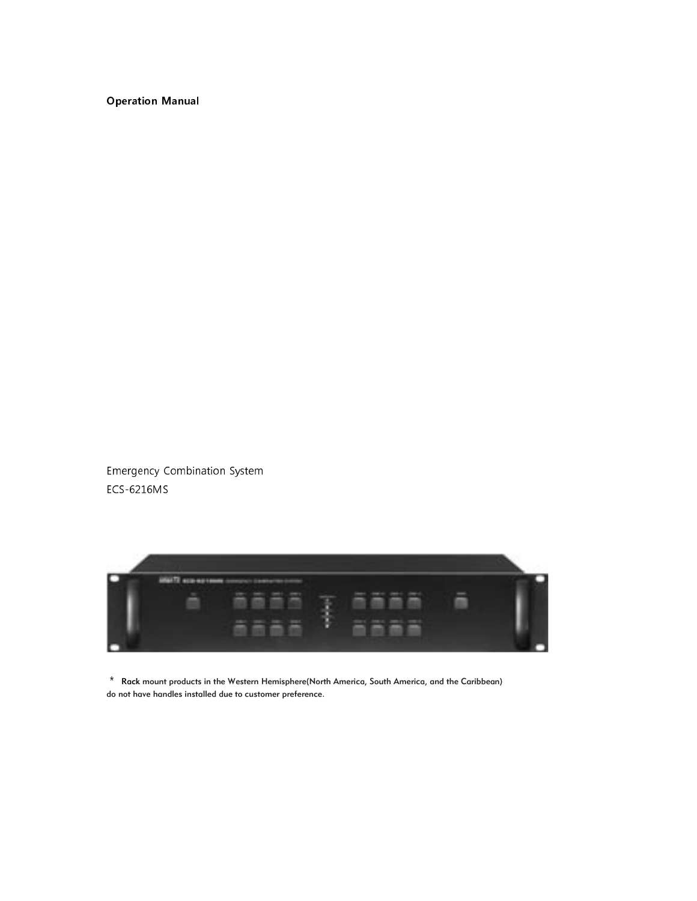### **Operation Manual**

Emergency Combination System ECS-6216MS



 $*$  Rack mount products in the Western Hemisphere(North America, South America, and the Caribbean) do not have handles installed due to customer preference.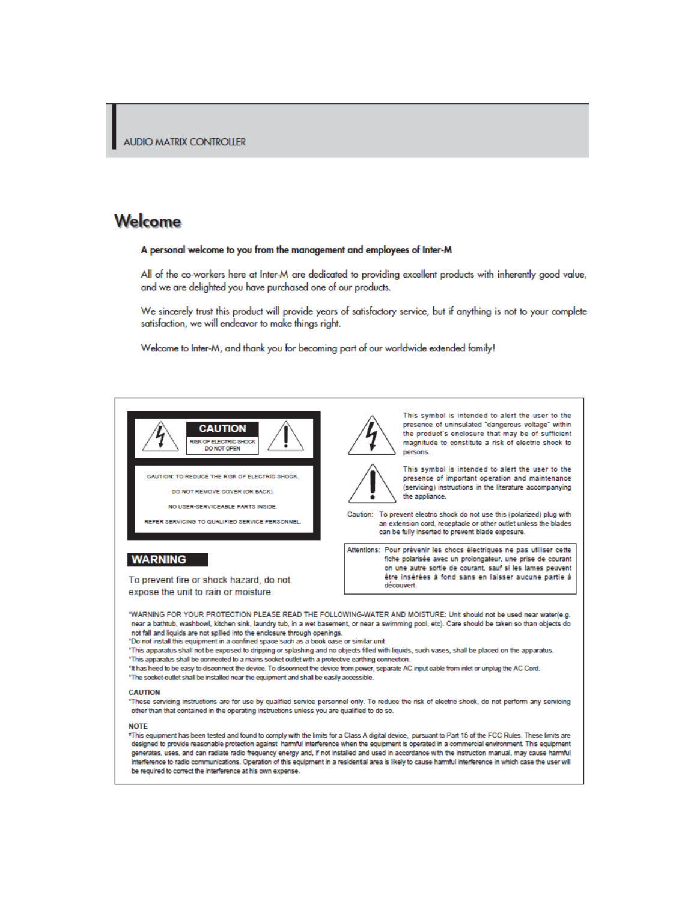### Welcome

### A personal welcome to you from the management and employees of Inter-M

All of the co-workers here at Inter-M are dedicated to providing excellent products with inherently good value, and we are delighted you have purchased one of our products.

We sincerely trust this product will provide years of satisfactory service, but if anything is not to your complete satisfaction, we will endeavor to make things right.

Welcome to Inter-M, and thank you for becoming part of our worldwide extended family!



CAUTION: TO REDUCE THE RISK OF ELECTRIC SHOCK.

DO NOT REMOVE COVER (OR BACK).

NO USER-SERVICEARLE PARTS INSIDE

REFER SERVICING TO QUALIFIED SERVICE PERSONNEL.

#### **WARNING**

To prevent fire or shock hazard, do not expose the unit to rain or moisture.



This symbol is intended to alert the user to the presence of uninsulated "dangerous voltage" within the product's enclosure that may be of sufficient magnitude to constitute a risk of electric shock to persons.



This symbol is intended to alert the user to the presence of important operation and maintenance (servicing) instructions in the literature accompanying the appliance.

Caution: To prevent electric shock do not use this (polarized) plug with an extension cord, receptacle or other outlet unless the blades can be fully inserted to prevent blade exposure.

Attentions: Pour prévenir les chocs électriques ne pas utiliser cette fiche polarisée avec un prolongateur, une prise de courant on une autre sortie de courant, sauf si les lames peuvent étre insérées à fond sans en laisser aucune partie à découvert.

"WARNING FOR YOUR PROTECTION PLEASE READ THE FOLLOWING-WATER AND MOISTURE: Unit should not be used near water(e.g. near a bathtub, washbowl, kitchen sink, laundry tub, in a wet basement, or near a swimming pool, etc). Care should be taken so than objects do not fall and liquids are not spilled into the enclosure through openings.

'Do not install this equipment in a confined space such as a book case or similar unit.

\*This apparatus shall not be exposed to dripping or splashing and no objects filled with liquids, such vases, shall be placed on the apparatus.

- \*This apparatus shall be connected to a mains socket outlet with a protective earthing connection. "It has heed to be easy to disconnect the device. To disconnect the device from power, separate AC input cable from inlet or unplug the AC Cord.
- 'The socket-outlet shall be installed near the equipment and shall be easily accessible.

#### **CAUTION**

"These servicing instructions are for use by qualified service personnel only. To reduce the risk of electric shock, do not perform any servicing other than that contained in the operating instructions unless you are qualified to do so.

#### **NOTE**

\*This equipment has been tested and found to comply with the limits for a Class A digital device, pursuant to Part 15 of the FCC Rules. These limits are designed to provide reasonable protection against harmful interference when the equipment is operated in a commercial environment. This equipment generates, uses, and can radiate radio frequency energy and, if not installed and used in accordance with the instruction manual, may cause harmful interference to radio communications. Operation of this equipment in a residential area is likely to cause harmful interference in which case the user will be required to correct the interference at his own expense.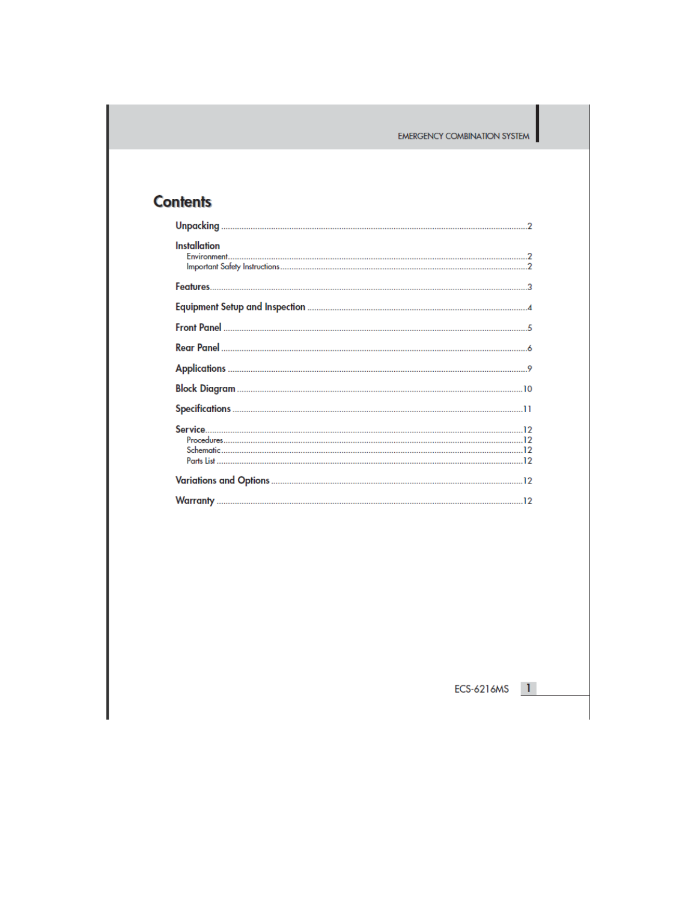### **Contents**

| <b>Installation</b> |
|---------------------|
|                     |
|                     |
|                     |
|                     |
|                     |
|                     |
|                     |
|                     |
|                     |
|                     |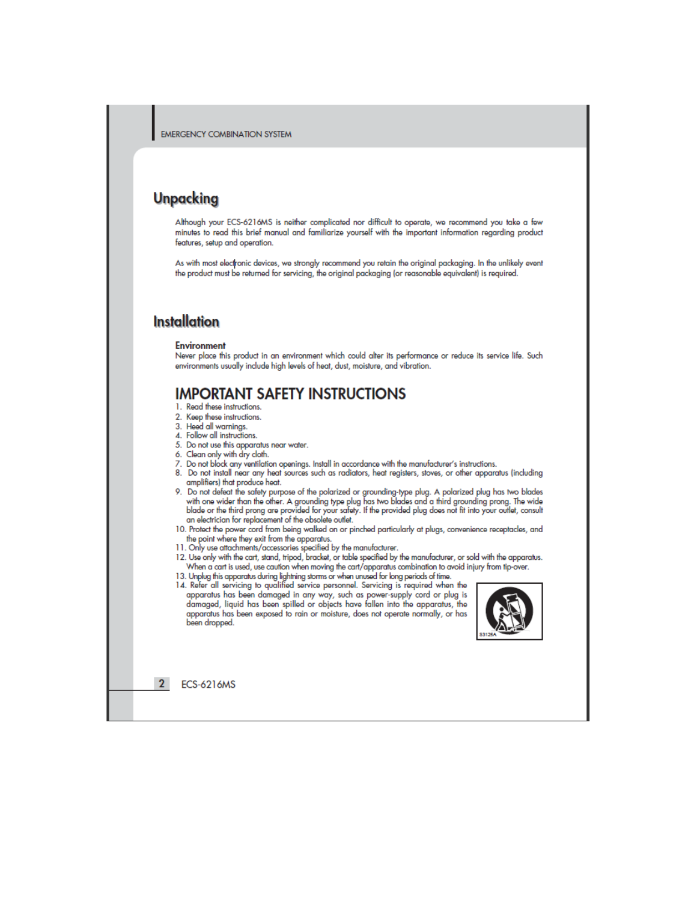### **Unpacking**

Although your ECS-6216MS is neither complicated nor difficult to operate, we recommend you take a few minutes to read this brief manual and familiarize yourself with the important information regarding product features, setup and operation.

As with most electronic devices, we strongly recommend you retain the original packaging. In the unlikely event the product must be returned for servicing, the original packaging (or reasonable equivalent) is required.

### **Installation**

#### **Environment**

Never place this product in an environment which could alter its performance or reduce its service life. Such environments usually include high levels of heat, dust, moisture, and vibration.

### **IMPORTANT SAFETY INSTRUCTIONS**

- 1. Read these instructions.
- 2. Keep these instructions. 3. Heed all warnings.
- 4. Follow all instructions.
- 5. Do not use this apparatus near water.
- 6. Clean only with dry cloth.
- 7. Do not block any ventilation openings. Install in accordance with the manufacturer's instructions.
- 8. Do not install near any heat sources such as radiators, heat registers, stoves, or other apparatus (including amplifiers) that produce heat.

9. Do not defeat the safety purpose of the polarized or grounding-type plug. A polarized plug has two blades with one wider than the other. A grounding type plug has two blades and a third grounding prong. The wide<br>blade or the third prong are provided for your safety. If the provided plug does not fit into your outlet, consult an electrician for replacement of the obsolete outlet.

- 10. Protect the power cord from being walked on or pinched particularly at plugs, convenience receptacles, and the point where they exit from the apparatus.<br>  $11.$  Only use attachments/accessories specified by the manufacturer.
- 
- 12. Use only with the cart, stand, tripod, bracket, or table specified by the manufacturer, or sold with the apparatus. When a cart is used, use caution when moving the cart/apparatus combination to avoid injury from tip-over.
- 13. Unplug this apparatus during lightning storms or when unused for long periods of time.<br>14. Refer all servicing to qualified service personnel. Servicing is required when the
- apparatus has been damaged in any way, such as power-supply cord or plug is damaged, liquid has been spilled or objects have fallen into the apparatus, the apparatus has been exposed to rain or moisture, does not operate normally, or has been dropped.



 $\overline{2}$ **ECS-6216MS**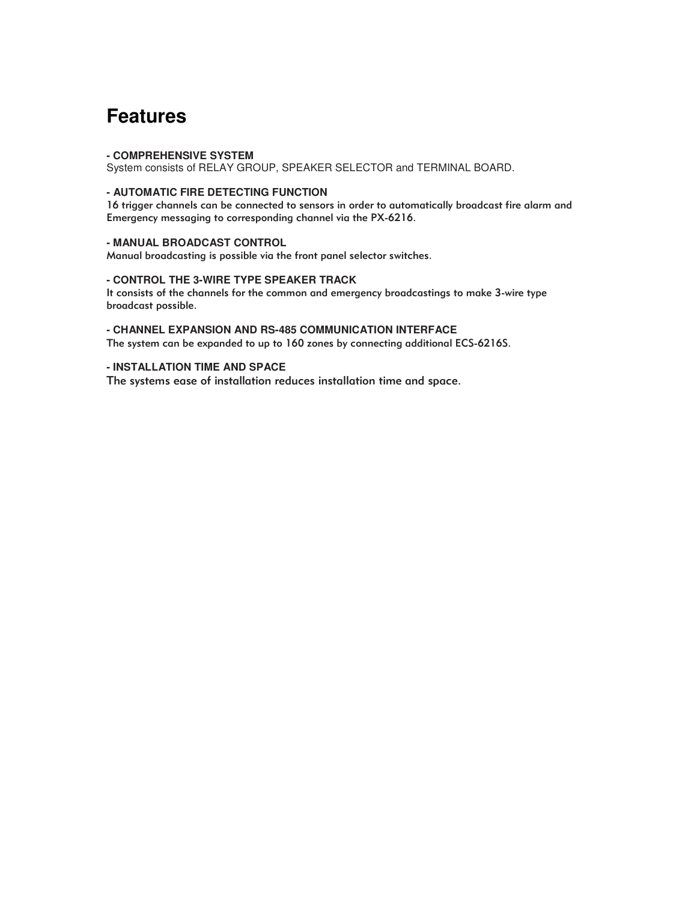### **Features**

#### **- COMPREHENSIVE SYSTEM**

System consists of RELAY GROUP, SPEAKER SELECTOR and TERMINAL BOARD.

### **- AUTOMATIC FIRE DETECTING FUNCTION**

16 trigger channels can be connected to sensors in order to automatically broadcast fire alarm and Emergency messaging to corresponding channel via the PX-6216.

#### **- MANUAL BROADCAST CONTROL**

Manual broadcasting is possible via the front panel selector switches.

### **- CONTROL THE 3-WIRE TYPE SPEAKER TRACK**

It consists of the channels for the common and emergency broadcastings to make 3-wire type broadcast possible.

### **- CHANNEL EXPANSION AND RS-485 COMMUNICATION INTERFACE**

The system can be expanded to up to 160 zones by connecting additional ECS-6216S.

### **- INSTALLATION TIME AND SPACE**

The systems ease of installation reduces installation time and space.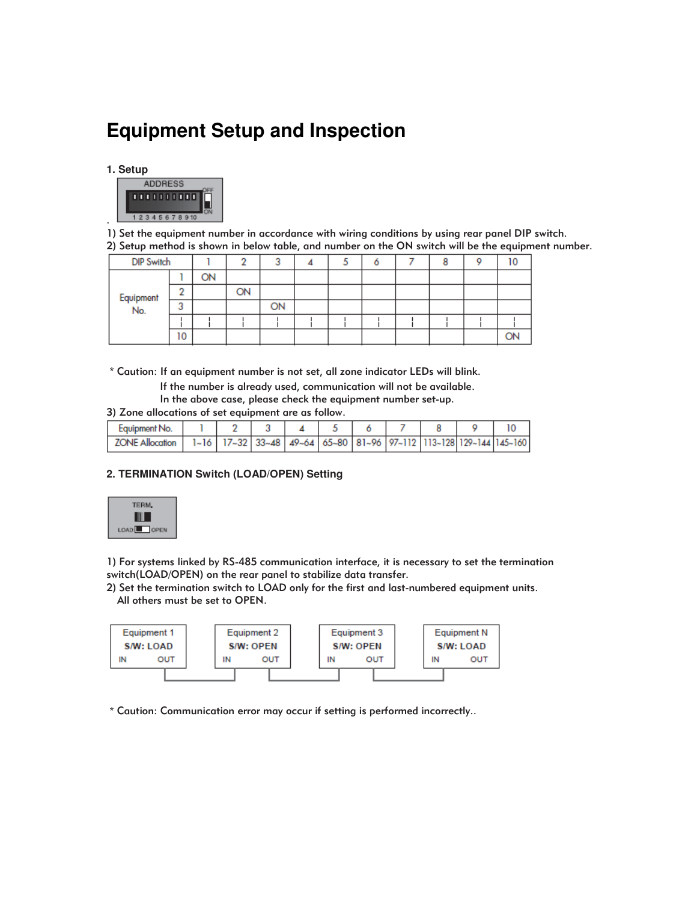### **Equipment Setup and Inspection**

### **1. Setup**



. 1) Set the equipment number in accordance with wiring conditions by using rear panel DIP switch. 2) Setup method is shown in below table, and number on the ON switch will be the equipment number.

| <b>DIP Switch</b> |             |           |    | w  |  |  |  |  |
|-------------------|-------------|-----------|----|----|--|--|--|--|
|                   |             | <b>ON</b> |    |    |  |  |  |  |
| Equipment<br>No.  | ÷           |           | ON |    |  |  |  |  |
|                   | $\sim$<br>د |           |    | ON |  |  |  |  |
|                   |             |           |    |    |  |  |  |  |
|                   | 10          |           |    |    |  |  |  |  |

Caution: If an equipment number is not set, all zone indicator LEDs will blink.

If the number is already used, communication will not be available.

In the above case, please check the equipment number set-up.

3) Zone allocations of set equipment are as follow.

| Eauipment No.          |  |  |  |  |                                                                                                         |
|------------------------|--|--|--|--|---------------------------------------------------------------------------------------------------------|
| <b>ZONE Allocation</b> |  |  |  |  | $1-16$   $17-32$   $33-48$   $49-64$   $65-80$   $81-96$   $97-112$   $113-128$   $129-144$   $145-160$ |

### **2. TERMINATION Switch (LOAD/OPEN) Setting**



1) For systems linked by RS-485 communication interface, it is necessary to set the termination switch(LOAD/OPEN) on the rear panel to stabilize data transfer.

2) Set the termination switch to LOAD only for the first and last-numbered equipment units. All others must be set to OPEN.



Caution: Communication error may occur if setting is performed incorrectly..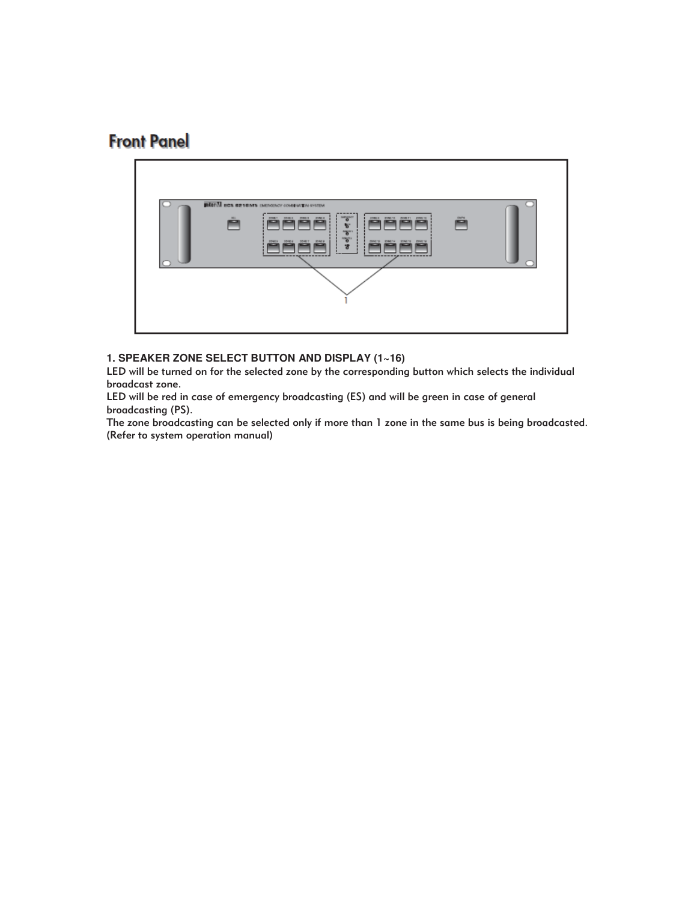### **Front Panel**



### **1. SPEAKER ZONE SELECT BUTTON AND DISPLAY (1~16)**

LED will be turned on for the selected zone by the corresponding button which selects the individual broadcast zone.

LED will be red in case of emergency broadcasting (ES) and will be green in case of general broadcasting (PS).

The zone broadcasting can be selected only if more than 1 zone in the same bus is being broadcasted. (Refer to system operation manual)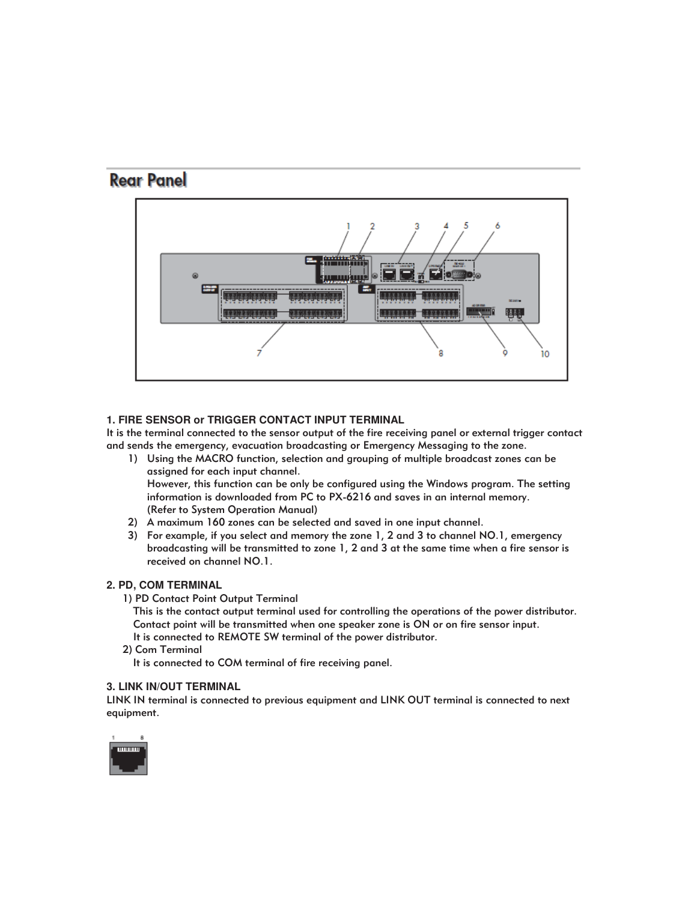### **Rear Panel**



### **1. FIRE SENSOR or TRIGGER CONTACT INPUT TERMINAL**

It is the terminal connected to the sensor output of the fire receiving panel or external trigger contact and sends the emergency, evacuation broadcasting or Emergency Messaging to the zone.

- 1) Using the MACRO function, selection and grouping of multiple broadcast zones can be assigned for each input channel. However, this function can be only be configured using the Windows program. The setting information is downloaded from PC to PX-6216 and saves in an internal memory. (Refer to System Operation Manual)
- 2) A maximum 160 zones can be selected and saved in one input channel.
- 3) For example, if you select and memory the zone 1, 2 and 3 to channel NO.1, emergency broadcasting will be transmitted to zone 1, 2 and 3 at the same time when a fire sensor is received on channel NO.1.

### **2. PD, COM TERMINAL**

- 1) PD Contact Point Output Terminal
	- This is the contact output terminal used for controlling the operations of the power distributor. Contact point will be transmitted when one speaker zone is ON or on fire sensor input. It is connected to REMOTE SW terminal of the power distributor.
- 2) Com Terminal
	- It is connected to COM terminal of fire receiving panel.

### **3. LINK IN/OUT TERMINAL**

LINK IN terminal is connected to previous equipment and LINK OUT terminal is connected to next equipment.

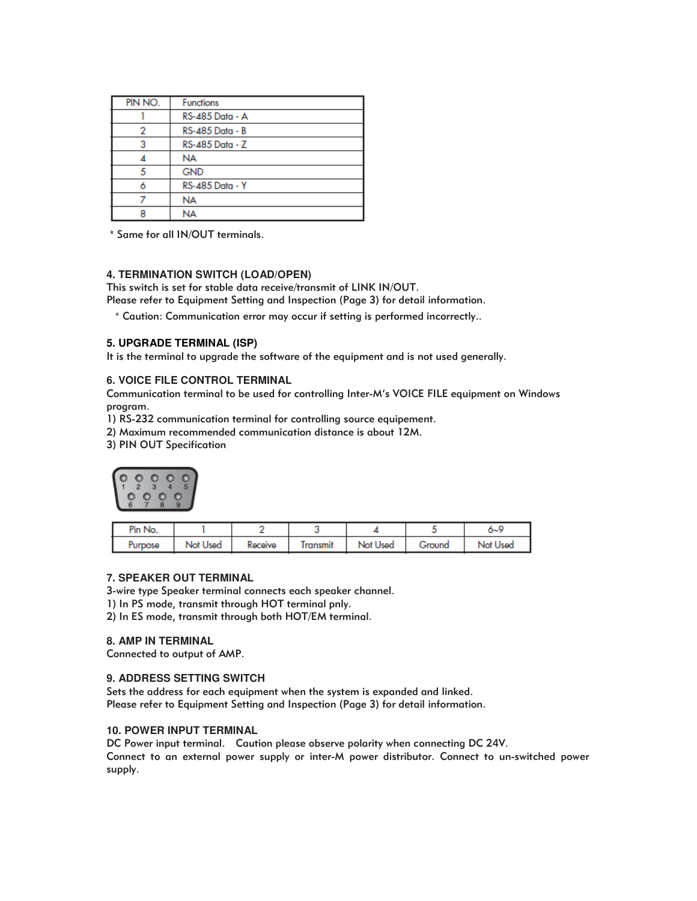| PIN NO. | <b>Functions</b> |  |  |  |
|---------|------------------|--|--|--|
|         | RS-485 Data - A  |  |  |  |
|         | RS-485 Data - B  |  |  |  |
| 3       | RS-485 Data - Z  |  |  |  |
|         | <b>NA</b>        |  |  |  |
|         | <b>GND</b>       |  |  |  |
|         | RS-485 Data - Y  |  |  |  |
|         | <b>NA</b>        |  |  |  |
|         | NA               |  |  |  |

Same for all IN/OUT terminals.

### **4. TERMINATION SWITCH (LOAD/OPEN)**

This switch is set for stable data receive/transmit of LINK IN/OUT.

Please refer to Equipment Setting and Inspection (Page 3) for detail information.

Caution: Communication error may occur if setting is performed incorrectly..

### **5. UPGRADE TERMINAL (ISP)**

It is the terminal to upgrade the software of the equipment and is not used generally.

### **6. VOICE FILE CONTROL TERMINAL**

Communication terminal to be used for controlling Inter-M's VOICE FILE equipment on Windows program.

1) RS-232 communication terminal for controlling source equipement.

2) Maximum recommended communication distance is about 12M.

3) PIN OUT Specification



| Pin No. |          |         |                |          |        | o∼s      |
|---------|----------|---------|----------------|----------|--------|----------|
| Purpose | Not Used | Receive | <b>Iransmi</b> | Not Used | Ground | Not Used |

### **7. SPEAKER OUT TERMINAL**

3-wire type Speaker terminal connects each speaker channel.

1) In PS mode, transmit through HOT terminal pnly.

2) In ES mode, transmit through both HOT/EM terminal.

### **8. AMP IN TERMINAL**

Connected to output of AMP.

### **9. ADDRESS SETTING SWITCH**

Sets the address for each equipment when the system is expanded and linked. Please refer to Equipment Setting and Inspection (Page 3) for detail information.

### **10. POWER INPUT TERMINAL**

DC Power input terminal. Caution please observe polarity when connecting DC 24V. Connect to an external power supply or inter-M power distributor. Connect to un-switched power supply.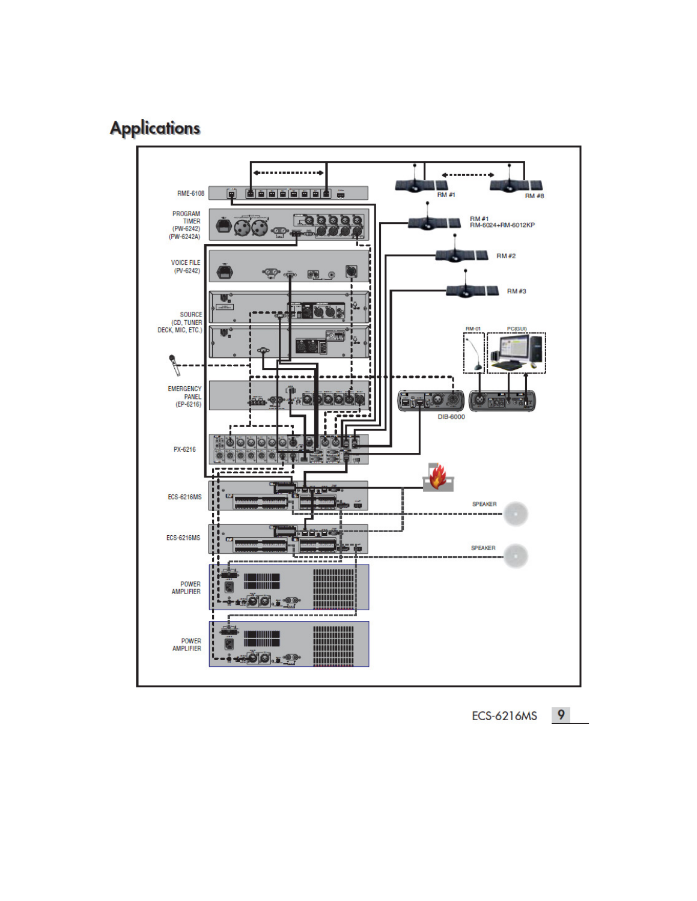## **Applications**

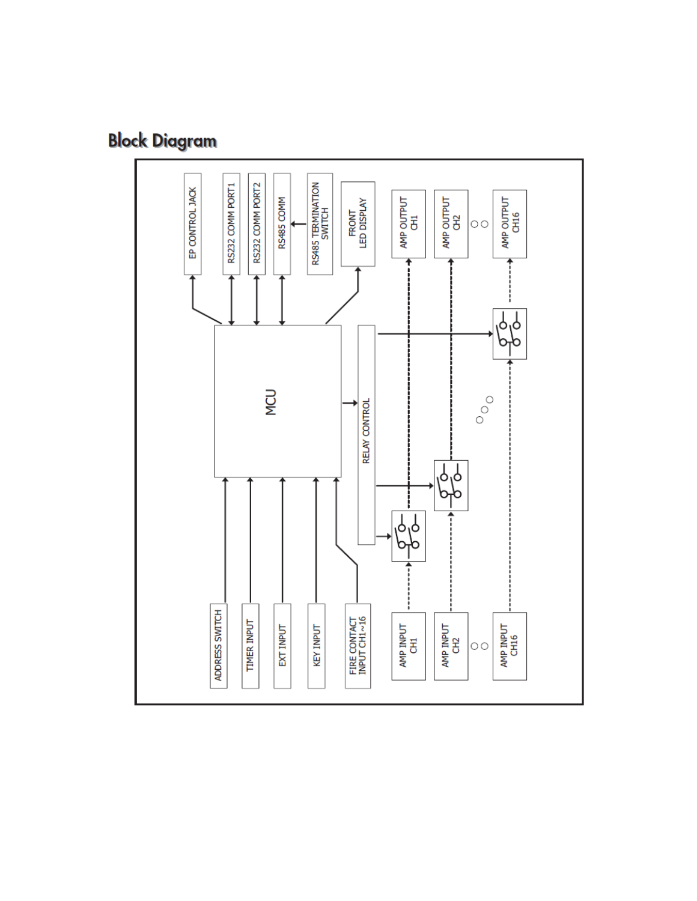# **Block Diagram**

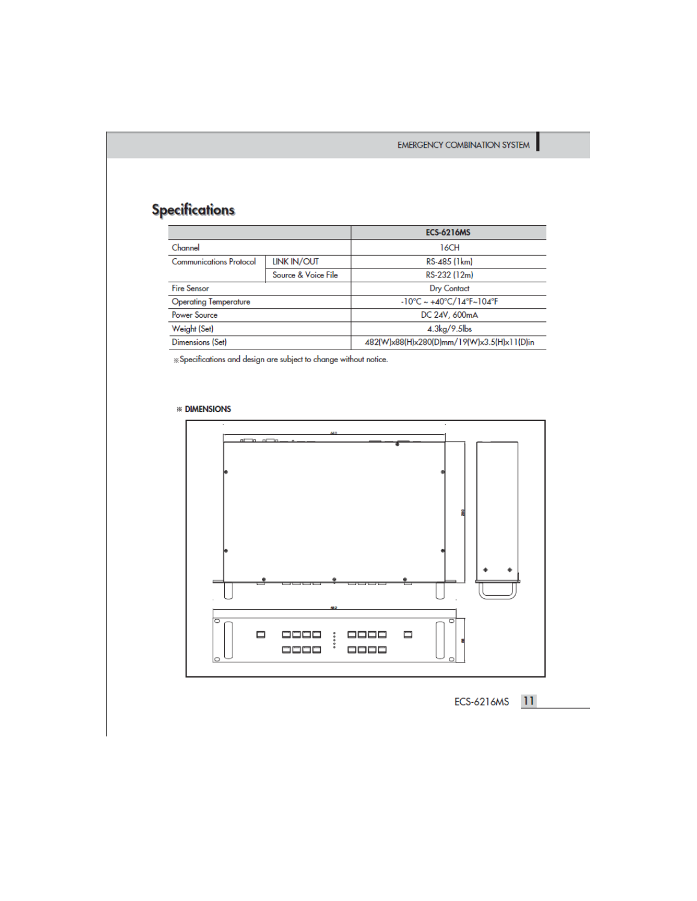### **Specifications**

|                                |                     | <b>ECS-6216MS</b>                                                   |  |  |  |
|--------------------------------|---------------------|---------------------------------------------------------------------|--|--|--|
| Channel                        |                     | 16CH                                                                |  |  |  |
| <b>Communications Protocol</b> | <b>LINK IN/OUT</b>  | RS-485 (1km)                                                        |  |  |  |
|                                | Source & Voice File | RS-232 (12m)                                                        |  |  |  |
| <b>Fire Sensor</b>             |                     | <b>Dry Contact</b>                                                  |  |  |  |
| <b>Operating Temperature</b>   |                     | $-10^{\circ}$ C ~ +40 $^{\circ}$ C/14 $^{\circ}$ F~104 $^{\circ}$ F |  |  |  |
| Power Source                   |                     | DC 24V, 600mA                                                       |  |  |  |
| Weight (Set)                   |                     | $4.3\text{kg}/9.5\text{lb}$ s                                       |  |  |  |
| Dimensions (Set)               |                     | 482(W)x88(H)x280(D)mm/19(W)x3.5(H)x11(D)in                          |  |  |  |

 $\%$  Specifications and design are subject to change without notice.